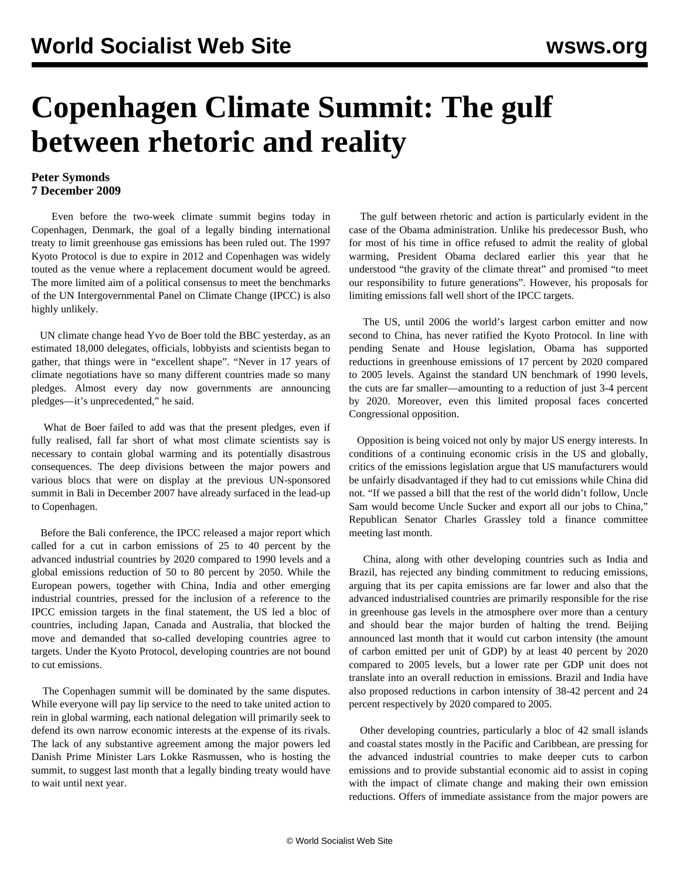## **Copenhagen Climate Summit: The gulf between rhetoric and reality**

## **Peter Symonds 7 December 2009**

 Even before the two-week climate summit begins today in Copenhagen, Denmark, the goal of a legally binding international treaty to limit greenhouse gas emissions has been ruled out. The 1997 Kyoto Protocol is due to expire in 2012 and Copenhagen was widely touted as the venue where a replacement document would be agreed. The more limited aim of a political consensus to meet the benchmarks of the UN Intergovernmental Panel on Climate Change (IPCC) is also highly unlikely.

 UN climate change head Yvo de Boer told the BBC yesterday, as an estimated 18,000 delegates, officials, lobbyists and scientists began to gather, that things were in "excellent shape". "Never in 17 years of climate negotiations have so many different countries made so many pledges. Almost every day now governments are announcing pledges—it's unprecedented," he said.

 What de Boer failed to add was that the present pledges, even if fully realised, fall far short of what most climate scientists say is necessary to contain global warming and its potentially disastrous consequences. The deep divisions between the major powers and various blocs that were on display at the previous UN-sponsored summit in Bali in December 2007 have already surfaced in the lead-up to Copenhagen.

 Before the Bali conference, the IPCC released a major report which called for a cut in carbon emissions of 25 to 40 percent by the advanced industrial countries by 2020 compared to 1990 levels and a global emissions reduction of 50 to 80 percent by 2050. While the European powers, together with China, India and other emerging industrial countries, pressed for the inclusion of a reference to the IPCC emission targets in the final statement, the US led a bloc of countries, including Japan, Canada and Australia, that blocked the move and demanded that so-called developing countries agree to targets. Under the Kyoto Protocol, developing countries are not bound to cut emissions.

 The Copenhagen summit will be dominated by the same disputes. While everyone will pay lip service to the need to take united action to rein in global warming, each national delegation will primarily seek to defend its own narrow economic interests at the expense of its rivals. The lack of any substantive agreement among the major powers led Danish Prime Minister Lars Lokke Rasmussen, who is hosting the summit, to suggest last month that a legally binding treaty would have to wait until next year.

 The gulf between rhetoric and action is particularly evident in the case of the Obama administration. Unlike his predecessor Bush, who for most of his time in office refused to admit the reality of global warming, President Obama declared earlier this year that he understood "the gravity of the climate threat" and promised "to meet our responsibility to future generations". However, his proposals for limiting emissions fall well short of the IPCC targets.

 The US, until 2006 the world's largest carbon emitter and now second to China, has never ratified the Kyoto Protocol. In line with pending Senate and House legislation, Obama has supported reductions in greenhouse emissions of 17 percent by 2020 compared to 2005 levels. Against the standard UN benchmark of 1990 levels, the cuts are far smaller—amounting to a reduction of just 3-4 percent by 2020. Moreover, even this limited proposal faces concerted Congressional opposition.

 Opposition is being voiced not only by major US energy interests. In conditions of a continuing economic crisis in the US and globally, critics of the emissions legislation argue that US manufacturers would be unfairly disadvantaged if they had to cut emissions while China did not. "If we passed a bill that the rest of the world didn't follow, Uncle Sam would become Uncle Sucker and export all our jobs to China," Republican Senator Charles Grassley told a finance committee meeting last month.

 China, along with other developing countries such as India and Brazil, has rejected any binding commitment to reducing emissions, arguing that its per capita emissions are far lower and also that the advanced industrialised countries are primarily responsible for the rise in greenhouse gas levels in the atmosphere over more than a century and should bear the major burden of halting the trend. Beijing announced last month that it would cut carbon intensity (the amount of carbon emitted per unit of GDP) by at least 40 percent by 2020 compared to 2005 levels, but a lower rate per GDP unit does not translate into an overall reduction in emissions. Brazil and India have also proposed reductions in carbon intensity of 38-42 percent and 24 percent respectively by 2020 compared to 2005.

 Other developing countries, particularly a bloc of 42 small islands and coastal states mostly in the Pacific and Caribbean, are pressing for the advanced industrial countries to make deeper cuts to carbon emissions and to provide substantial economic aid to assist in coping with the impact of climate change and making their own emission reductions. Offers of immediate assistance from the major powers are